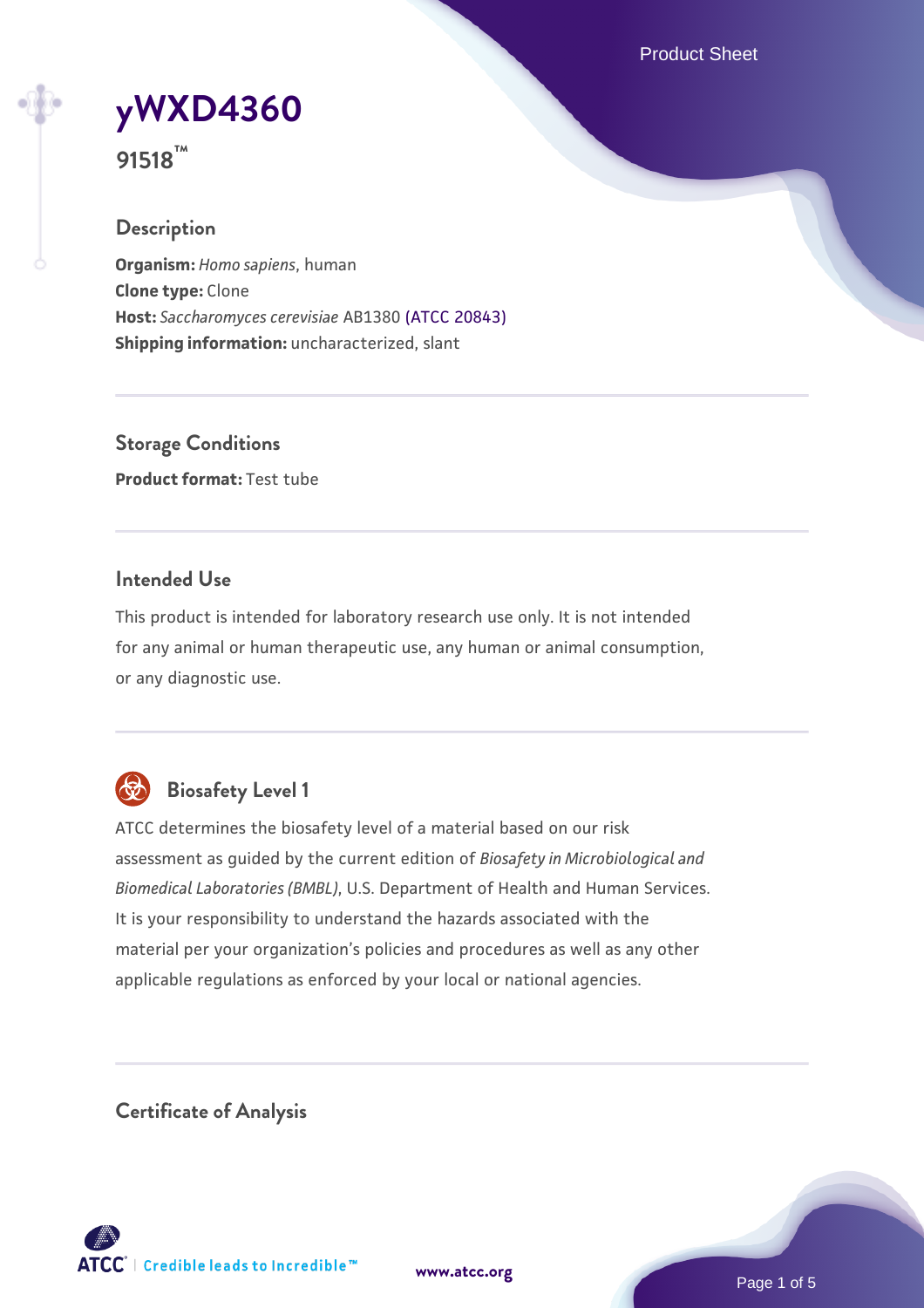Product Sheet



**91518™**

# **Description**

**Organism:** *Homo sapiens*, human **Clone type:** Clone **Host:** *Saccharomyces cerevisiae* AB1380 [\(ATCC 20843\)](https://www.atcc.org/products/20843) **Shipping information:** uncharacterized, slant

**Storage Conditions Product format:** Test tube

## **Intended Use**

This product is intended for laboratory research use only. It is not intended for any animal or human therapeutic use, any human or animal consumption, or any diagnostic use.



# **Biosafety Level 1**

ATCC determines the biosafety level of a material based on our risk assessment as guided by the current edition of *Biosafety in Microbiological and Biomedical Laboratories (BMBL)*, U.S. Department of Health and Human Services. It is your responsibility to understand the hazards associated with the material per your organization's policies and procedures as well as any other applicable regulations as enforced by your local or national agencies.

**Certificate of Analysis**

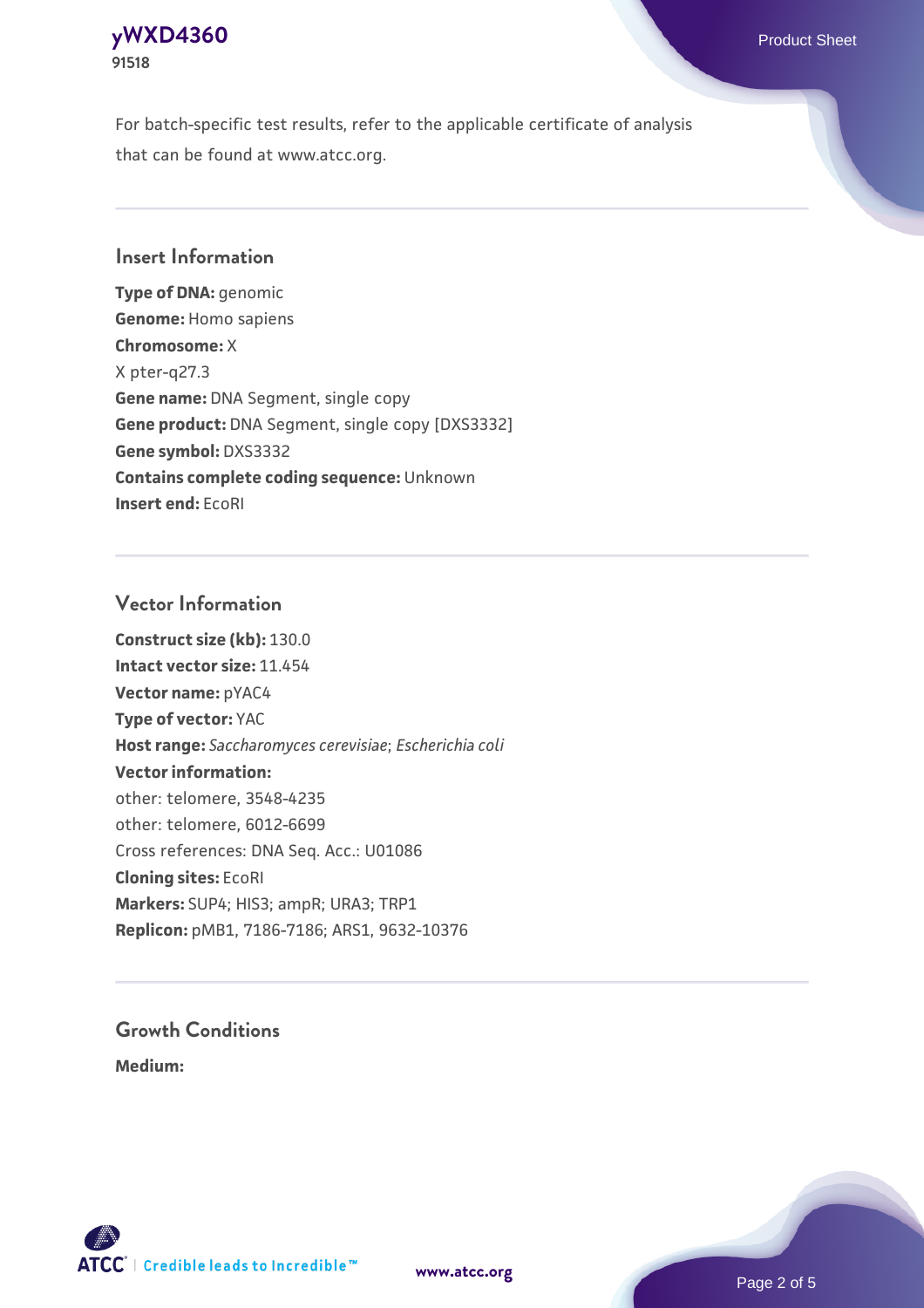# **[yWXD4360](https://www.atcc.org/products/91518)** Product Sheet **91518**

For batch-specific test results, refer to the applicable certificate of analysis that can be found at www.atcc.org.

## **Insert Information**

**Type of DNA:** genomic **Genome:** Homo sapiens **Chromosome:** X X pter-q27.3 **Gene name:** DNA Segment, single copy **Gene product:** DNA Segment, single copy [DXS3332] **Gene symbol:** DXS3332 **Contains complete coding sequence:** Unknown **Insert end:** EcoRI

## **Vector Information**

**Construct size (kb):** 130.0 **Intact vector size:** 11.454 **Vector name:** pYAC4 **Type of vector:** YAC **Host range:** *Saccharomyces cerevisiae*; *Escherichia coli* **Vector information:** other: telomere, 3548-4235 other: telomere, 6012-6699 Cross references: DNA Seq. Acc.: U01086 **Cloning sites:** EcoRI **Markers:** SUP4; HIS3; ampR; URA3; TRP1 **Replicon:** pMB1, 7186-7186; ARS1, 9632-10376

# **Growth Conditions**

**Medium:** 



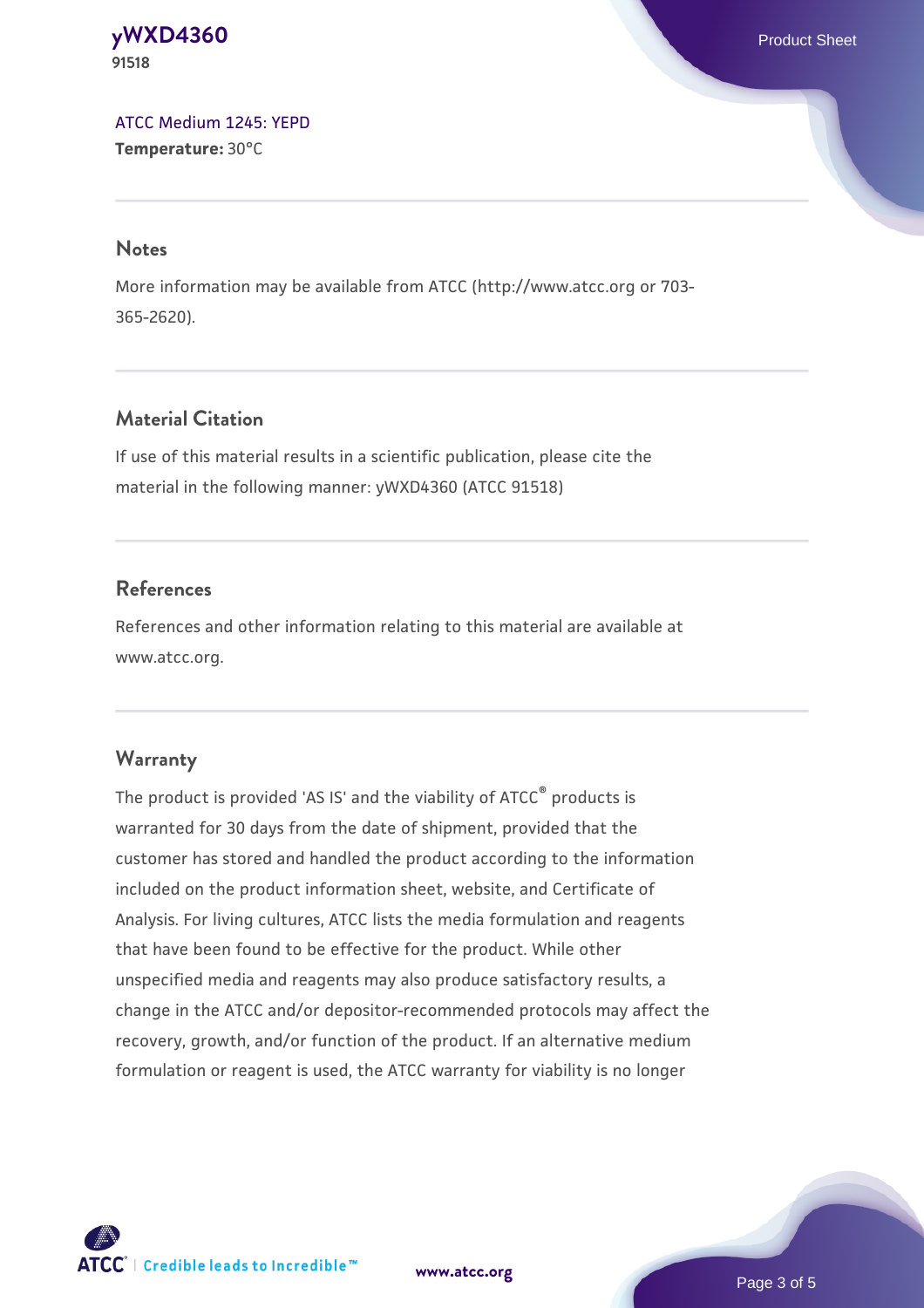**[yWXD4360](https://www.atcc.org/products/91518)** Product Sheet **91518**

[ATCC Medium 1245: YEPD](https://www.atcc.org/-/media/product-assets/documents/microbial-media-formulations/1/2/4/5/atcc-medium-1245.pdf?rev=705ca55d1b6f490a808a965d5c072196) **Temperature:** 30°C

#### **Notes**

More information may be available from ATCC (http://www.atcc.org or 703- 365-2620).

# **Material Citation**

If use of this material results in a scientific publication, please cite the material in the following manner: yWXD4360 (ATCC 91518)

## **References**

References and other information relating to this material are available at www.atcc.org.

#### **Warranty**

The product is provided 'AS IS' and the viability of ATCC® products is warranted for 30 days from the date of shipment, provided that the customer has stored and handled the product according to the information included on the product information sheet, website, and Certificate of Analysis. For living cultures, ATCC lists the media formulation and reagents that have been found to be effective for the product. While other unspecified media and reagents may also produce satisfactory results, a change in the ATCC and/or depositor-recommended protocols may affect the recovery, growth, and/or function of the product. If an alternative medium formulation or reagent is used, the ATCC warranty for viability is no longer

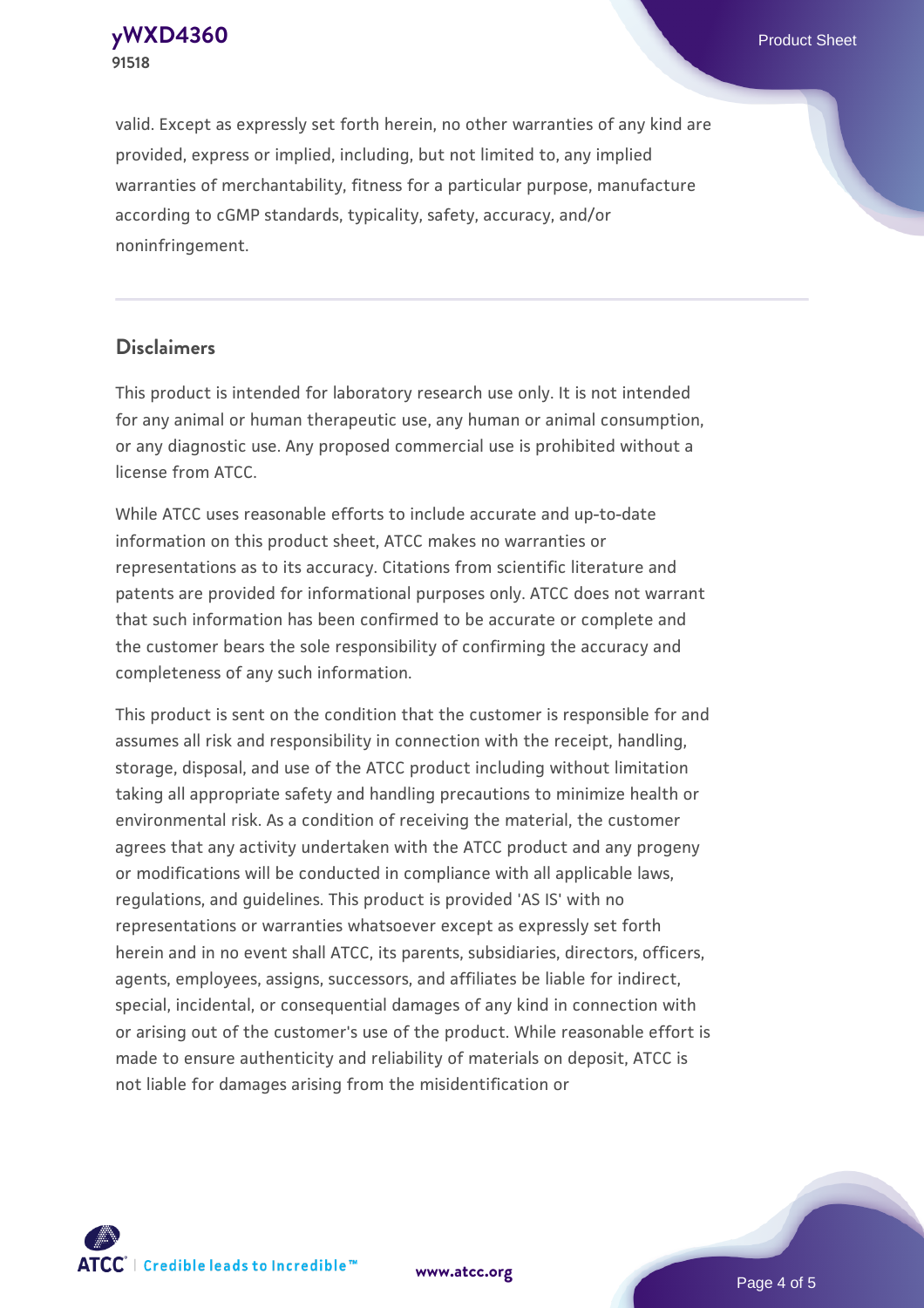**91518**

valid. Except as expressly set forth herein, no other warranties of any kind are provided, express or implied, including, but not limited to, any implied warranties of merchantability, fitness for a particular purpose, manufacture according to cGMP standards, typicality, safety, accuracy, and/or noninfringement.

#### **Disclaimers**

This product is intended for laboratory research use only. It is not intended for any animal or human therapeutic use, any human or animal consumption, or any diagnostic use. Any proposed commercial use is prohibited without a license from ATCC.

While ATCC uses reasonable efforts to include accurate and up-to-date information on this product sheet, ATCC makes no warranties or representations as to its accuracy. Citations from scientific literature and patents are provided for informational purposes only. ATCC does not warrant that such information has been confirmed to be accurate or complete and the customer bears the sole responsibility of confirming the accuracy and completeness of any such information.

This product is sent on the condition that the customer is responsible for and assumes all risk and responsibility in connection with the receipt, handling, storage, disposal, and use of the ATCC product including without limitation taking all appropriate safety and handling precautions to minimize health or environmental risk. As a condition of receiving the material, the customer agrees that any activity undertaken with the ATCC product and any progeny or modifications will be conducted in compliance with all applicable laws, regulations, and guidelines. This product is provided 'AS IS' with no representations or warranties whatsoever except as expressly set forth herein and in no event shall ATCC, its parents, subsidiaries, directors, officers, agents, employees, assigns, successors, and affiliates be liable for indirect, special, incidental, or consequential damages of any kind in connection with or arising out of the customer's use of the product. While reasonable effort is made to ensure authenticity and reliability of materials on deposit, ATCC is not liable for damages arising from the misidentification or



**[www.atcc.org](http://www.atcc.org)**

Page 4 of 5